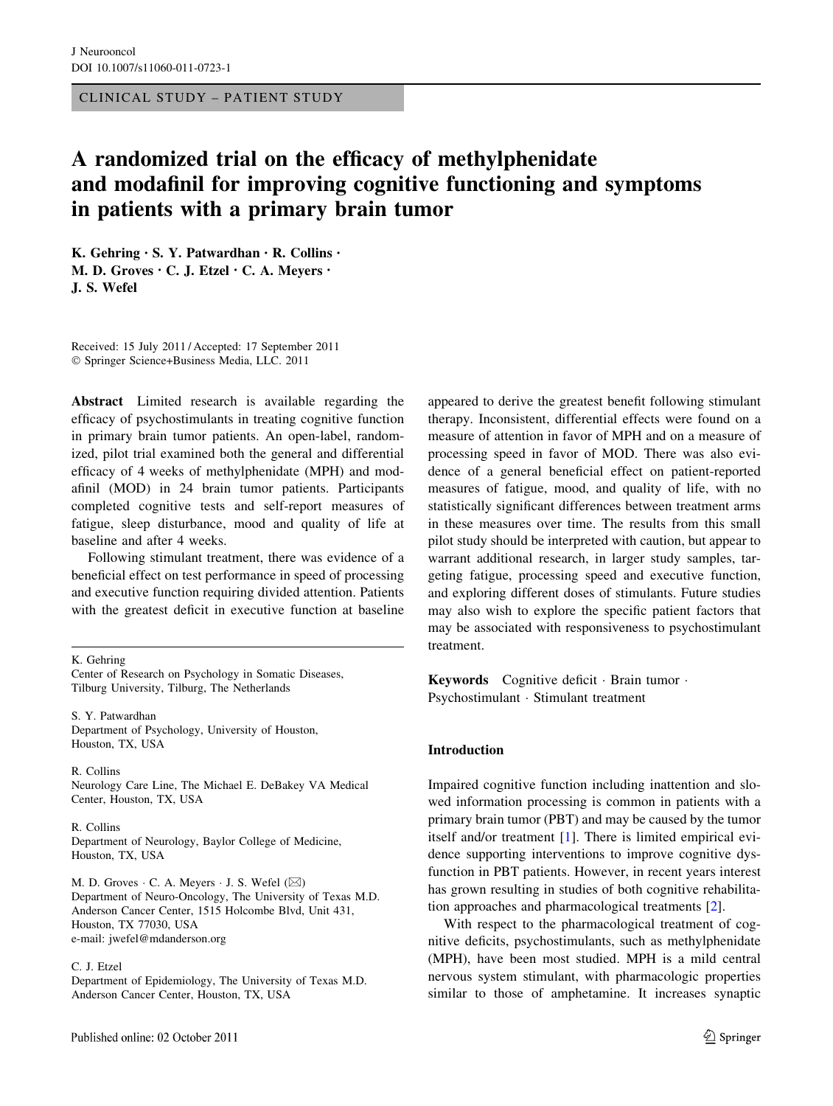CLINICAL STUDY – PATIENT STUDY

# A randomized trial on the efficacy of methylphenidate and modafinil for improving cognitive functioning and symptoms in patients with a primary brain tumor

K. Gehring • S. Y. Patwardhan • R. Collins • M. D. Groves • C. J. Etzel • C. A. Meyers • J. S. Wefel

Received: 15 July 2011 / Accepted: 17 September 2011 - Springer Science+Business Media, LLC. 2011

Abstract Limited research is available regarding the efficacy of psychostimulants in treating cognitive function in primary brain tumor patients. An open-label, randomized, pilot trial examined both the general and differential efficacy of 4 weeks of methylphenidate (MPH) and modafinil (MOD) in 24 brain tumor patients. Participants completed cognitive tests and self-report measures of fatigue, sleep disturbance, mood and quality of life at baseline and after 4 weeks.

Following stimulant treatment, there was evidence of a beneficial effect on test performance in speed of processing and executive function requiring divided attention. Patients with the greatest deficit in executive function at baseline

K. Gehring

Center of Research on Psychology in Somatic Diseases, Tilburg University, Tilburg, The Netherlands

S. Y. Patwardhan Department of Psychology, University of Houston, Houston, TX, USA

R. Collins Neurology Care Line, The Michael E. DeBakey VA Medical Center, Houston, TX, USA

R. Collins Department of Neurology, Baylor College of Medicine, Houston, TX, USA

M. D. Groves  $\cdot$  C. A. Meyers  $\cdot$  J. S. Wefel  $(\boxtimes)$ Department of Neuro-Oncology, The University of Texas M.D. Anderson Cancer Center, 1515 Holcombe Blvd, Unit 431, Houston, TX 77030, USA e-mail: jwefel@mdanderson.org

#### C. J. Etzel

Department of Epidemiology, The University of Texas M.D. Anderson Cancer Center, Houston, TX, USA

appeared to derive the greatest benefit following stimulant therapy. Inconsistent, differential effects were found on a measure of attention in favor of MPH and on a measure of processing speed in favor of MOD. There was also evidence of a general beneficial effect on patient-reported measures of fatigue, mood, and quality of life, with no statistically significant differences between treatment arms in these measures over time. The results from this small pilot study should be interpreted with caution, but appear to warrant additional research, in larger study samples, targeting fatigue, processing speed and executive function, and exploring different doses of stimulants. Future studies may also wish to explore the specific patient factors that may be associated with responsiveness to psychostimulant treatment.

Keywords Cognitive deficit · Brain tumor · Psychostimulant - Stimulant treatment

#### Introduction

Impaired cognitive function including inattention and slowed information processing is common in patients with a primary brain tumor (PBT) and may be caused by the tumor itself and/or treatment [[1\]](#page-8-0). There is limited empirical evidence supporting interventions to improve cognitive dysfunction in PBT patients. However, in recent years interest has grown resulting in studies of both cognitive rehabilitation approaches and pharmacological treatments [\[2](#page-8-0)].

With respect to the pharmacological treatment of cognitive deficits, psychostimulants, such as methylphenidate (MPH), have been most studied. MPH is a mild central nervous system stimulant, with pharmacologic properties similar to those of amphetamine. It increases synaptic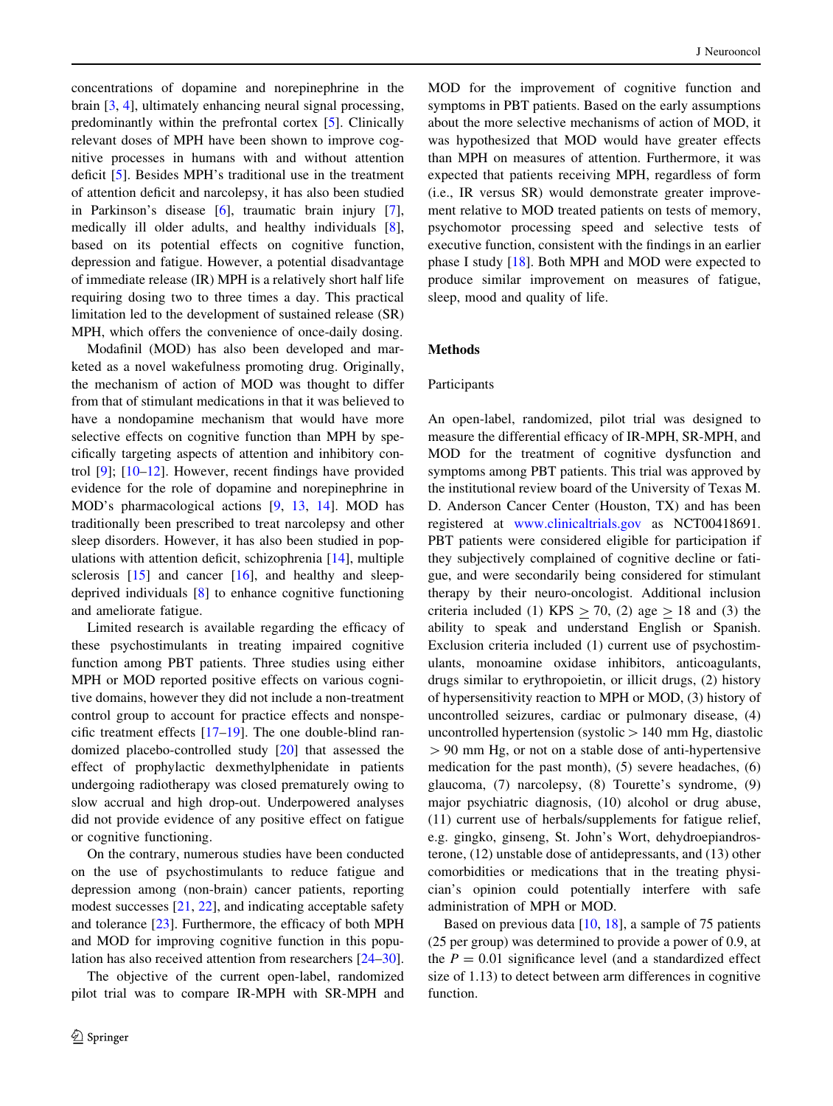concentrations of dopamine and norepinephrine in the brain [[3,](#page-8-0) [4](#page-8-0)], ultimately enhancing neural signal processing, predominantly within the prefrontal cortex [[5\]](#page-8-0). Clinically relevant doses of MPH have been shown to improve cognitive processes in humans with and without attention deficit [[5\]](#page-8-0). Besides MPH's traditional use in the treatment of attention deficit and narcolepsy, it has also been studied in Parkinson's disease [[6\]](#page-8-0), traumatic brain injury [\[7](#page-8-0)], medically ill older adults, and healthy individuals [\[8](#page-8-0)], based on its potential effects on cognitive function, depression and fatigue. However, a potential disadvantage of immediate release (IR) MPH is a relatively short half life requiring dosing two to three times a day. This practical limitation led to the development of sustained release (SR) MPH, which offers the convenience of once-daily dosing.

Modafinil (MOD) has also been developed and marketed as a novel wakefulness promoting drug. Originally, the mechanism of action of MOD was thought to differ from that of stimulant medications in that it was believed to have a nondopamine mechanism that would have more selective effects on cognitive function than MPH by specifically targeting aspects of attention and inhibitory control [[9\]](#page-8-0); [\[10–12\]](#page-8-0). However, recent findings have provided evidence for the role of dopamine and norepinephrine in MOD's pharmacological actions [[9,](#page-8-0) [13](#page-8-0), [14](#page-8-0)]. MOD has traditionally been prescribed to treat narcolepsy and other sleep disorders. However, it has also been studied in populations with attention deficit, schizophrenia [[14\]](#page-8-0), multiple sclerosis  $[15]$  $[15]$  and cancer  $[16]$ , and healthy and sleepdeprived individuals [[8](#page-8-0)] to enhance cognitive functioning and ameliorate fatigue.

Limited research is available regarding the efficacy of these psychostimulants in treating impaired cognitive function among PBT patients. Three studies using either MPH or MOD reported positive effects on various cognitive domains, however they did not include a non-treatment control group to account for practice effects and nonspecific treatment effects [[17–19\]](#page-8-0). The one double-blind randomized placebo-controlled study [\[20](#page-8-0)] that assessed the effect of prophylactic dexmethylphenidate in patients undergoing radiotherapy was closed prematurely owing to slow accrual and high drop-out. Underpowered analyses did not provide evidence of any positive effect on fatigue or cognitive functioning.

On the contrary, numerous studies have been conducted on the use of psychostimulants to reduce fatigue and depression among (non-brain) cancer patients, reporting modest successes [[21,](#page-8-0) [22\]](#page-8-0), and indicating acceptable safety and tolerance [[23](#page-8-0)]. Furthermore, the efficacy of both MPH and MOD for improving cognitive function in this population has also received attention from researchers [\[24–30](#page-8-0)].

The objective of the current open-label, randomized pilot trial was to compare IR-MPH with SR-MPH and MOD for the improvement of cognitive function and symptoms in PBT patients. Based on the early assumptions about the more selective mechanisms of action of MOD, it was hypothesized that MOD would have greater effects than MPH on measures of attention. Furthermore, it was expected that patients receiving MPH, regardless of form (i.e., IR versus SR) would demonstrate greater improvement relative to MOD treated patients on tests of memory, psychomotor processing speed and selective tests of executive function, consistent with the findings in an earlier phase I study [\[18](#page-8-0)]. Both MPH and MOD were expected to produce similar improvement on measures of fatigue, sleep, mood and quality of life.

### Methods

#### Participants

An open-label, randomized, pilot trial was designed to measure the differential efficacy of IR-MPH, SR-MPH, and MOD for the treatment of cognitive dysfunction and symptoms among PBT patients. This trial was approved by the institutional review board of the University of Texas M. D. Anderson Cancer Center (Houston, TX) and has been registered at [www.clinicaltrials.gov](http://www.clinicaltrials.gov) as NCT00418691. PBT patients were considered eligible for participation if they subjectively complained of cognitive decline or fatigue, and were secondarily being considered for stimulant therapy by their neuro-oncologist. Additional inclusion criteria included (1) KPS  $> 70$ , (2) age  $> 18$  and (3) the ability to speak and understand English or Spanish. Exclusion criteria included (1) current use of psychostimulants, monoamine oxidase inhibitors, anticoagulants, drugs similar to erythropoietin, or illicit drugs, (2) history of hypersensitivity reaction to MPH or MOD, (3) history of uncontrolled seizures, cardiac or pulmonary disease, (4) uncontrolled hypertension (systolic  $>140$  mm Hg, diastolic  $> 90$  mm Hg, or not on a stable dose of anti-hypertensive medication for the past month), (5) severe headaches, (6) glaucoma, (7) narcolepsy, (8) Tourette's syndrome, (9) major psychiatric diagnosis, (10) alcohol or drug abuse, (11) current use of herbals/supplements for fatigue relief, e.g. gingko, ginseng, St. John's Wort, dehydroepiandrosterone, (12) unstable dose of antidepressants, and (13) other comorbidities or medications that in the treating physician's opinion could potentially interfere with safe administration of MPH or MOD.

Based on previous data  $[10, 18]$  $[10, 18]$  $[10, 18]$  $[10, 18]$ , a sample of 75 patients (25 per group) was determined to provide a power of 0.9, at the  $P = 0.01$  significance level (and a standardized effect size of 1.13) to detect between arm differences in cognitive function.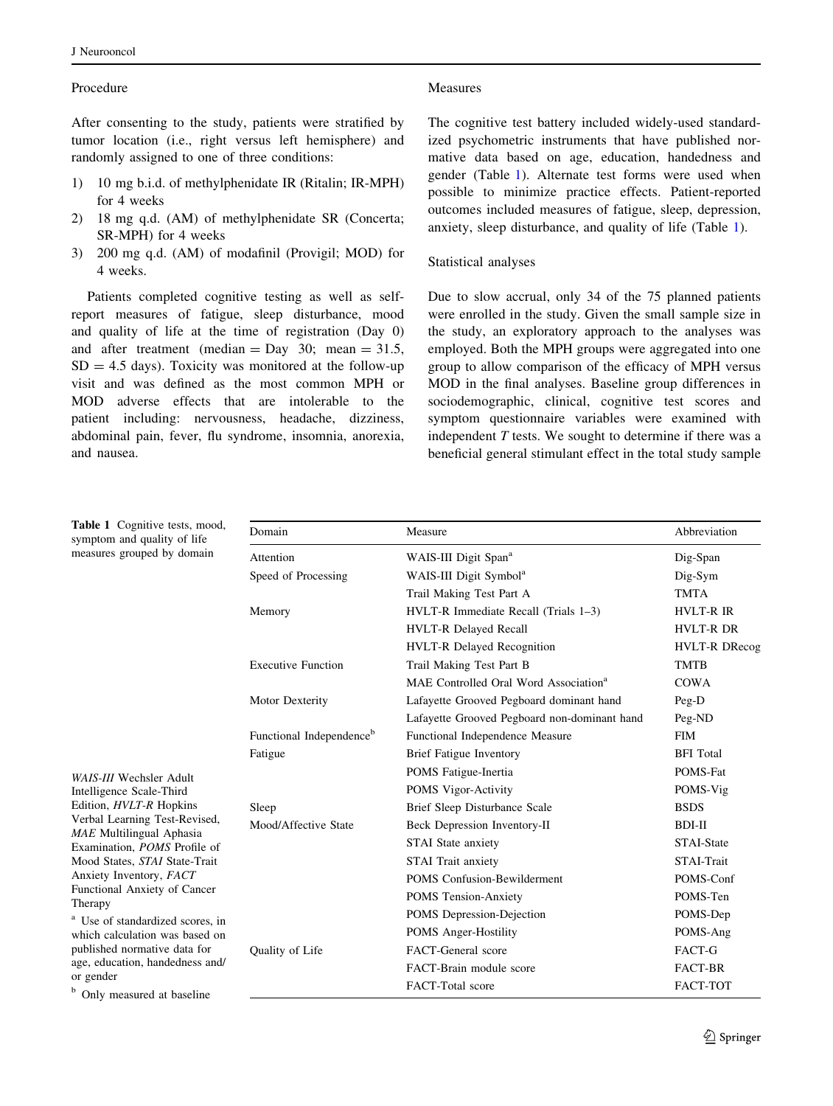### <span id="page-2-0"></span>Procedure

After consenting to the study, patients were stratified by tumor location (i.e., right versus left hemisphere) and randomly assigned to one of three conditions:

- 1) 10 mg b.i.d. of methylphenidate IR (Ritalin; IR-MPH) for 4 weeks
- 2) 18 mg q.d. (AM) of methylphenidate SR (Concerta; SR-MPH) for 4 weeks
- 3) 200 mg q.d. (AM) of modafinil (Provigil; MOD) for 4 weeks.

Patients completed cognitive testing as well as selfreport measures of fatigue, sleep disturbance, mood and quality of life at the time of registration (Day 0) and after treatment (median = Day 30; mean =  $31.5$ ,  $SD = 4.5$  days). Toxicity was monitored at the follow-up visit and was defined as the most common MPH or MOD adverse effects that are intolerable to the patient including: nervousness, headache, dizziness, abdominal pain, fever, flu syndrome, insomnia, anorexia, and nausea.

### Measures

The cognitive test battery included widely-used standardized psychometric instruments that have published normative data based on age, education, handedness and gender (Table 1). Alternate test forms were used when possible to minimize practice effects. Patient-reported outcomes included measures of fatigue, sleep, depression, anxiety, sleep disturbance, and quality of life (Table 1).

## Statistical analyses

Due to slow accrual, only 34 of the 75 planned patients were enrolled in the study. Given the small sample size in the study, an exploratory approach to the analyses was employed. Both the MPH groups were aggregated into one group to allow comparison of the efficacy of MPH versus MOD in the final analyses. Baseline group differences in sociodemographic, clinical, cognitive test scores and symptom questionnaire variables were examined with independent  $T$  tests. We sought to determine if there was a beneficial general stimulant effect in the total study sample

| Table 1 Cognitive tests, mood,<br>symptom and quality of life | Domain                               | Measure                                           | Abbreviation         |
|---------------------------------------------------------------|--------------------------------------|---------------------------------------------------|----------------------|
| measures grouped by domain                                    | Attention                            | WAIS-III Digit Span <sup>a</sup>                  | Dig-Span             |
|                                                               | Speed of Processing                  | WAIS-III Digit Symbol <sup>a</sup>                | Dig-Sym              |
|                                                               |                                      | Trail Making Test Part A                          | <b>TMTA</b>          |
|                                                               | Memory                               | HVLT-R Immediate Recall (Trials 1–3)              | <b>HVLT-R IR</b>     |
|                                                               |                                      | <b>HVLT-R Delayed Recall</b>                      | <b>HVLT-R DR</b>     |
|                                                               |                                      | <b>HVLT-R Delayed Recognition</b>                 | <b>HVLT-R DRecog</b> |
|                                                               | <b>Executive Function</b>            | Trail Making Test Part B                          | <b>TMTB</b>          |
|                                                               |                                      | MAE Controlled Oral Word Association <sup>a</sup> | COWA                 |
|                                                               | Motor Dexterity                      | Lafayette Grooved Pegboard dominant hand          | $Peg-D$              |
|                                                               |                                      | Lafayette Grooved Pegboard non-dominant hand      | Peg-ND               |
|                                                               | Functional Independence <sup>b</sup> | Functional Independence Measure                   | <b>FIM</b>           |
|                                                               | Fatigue                              | <b>Brief Fatigue Inventory</b>                    | <b>BFI</b> Total     |
| WAIS-III Wechsler Adult                                       |                                      | POMS Fatigue-Inertia                              | POMS-Fat             |
| Intelligence Scale-Third                                      |                                      | POMS Vigor-Activity                               | POMS-Vig             |
| Edition, HVLT-R Hopkins                                       | Sleep                                | Brief Sleep Disturbance Scale                     | <b>BSDS</b>          |
| Verbal Learning Test-Revised,                                 | Mood/Affective State                 | Beck Depression Inventory-II                      | <b>BDI-II</b>        |
| MAE Multilingual Aphasia<br>Examination, POMS Profile of      |                                      | STAI State anxiety                                | STAI-State           |
| Mood States, STAI State-Trait                                 |                                      | <b>STAI</b> Trait anxiety                         | STAI-Trait           |
| Anxiety Inventory, FACT                                       |                                      | <b>POMS</b> Confusion-Bewilderment                | POMS-Conf            |
| Functional Anxiety of Cancer<br>Therapy                       |                                      | <b>POMS</b> Tension-Anxiety                       | POMS-Ten             |
| <sup>a</sup> Use of standardized scores, in                   |                                      | POMS Depression-Dejection                         | POMS-Dep             |
| which calculation was based on                                |                                      | POMS Anger-Hostility                              | POMS-Ang             |
| published normative data for                                  | Quality of Life                      | FACT-General score                                | FACT-G               |
| age, education, handedness and/                               |                                      | FACT-Brain module score                           | <b>FACT-BR</b>       |
| or gender<br><sup>b</sup> Only measured at baseline           |                                      | FACT-Total score                                  | FACT-TOT             |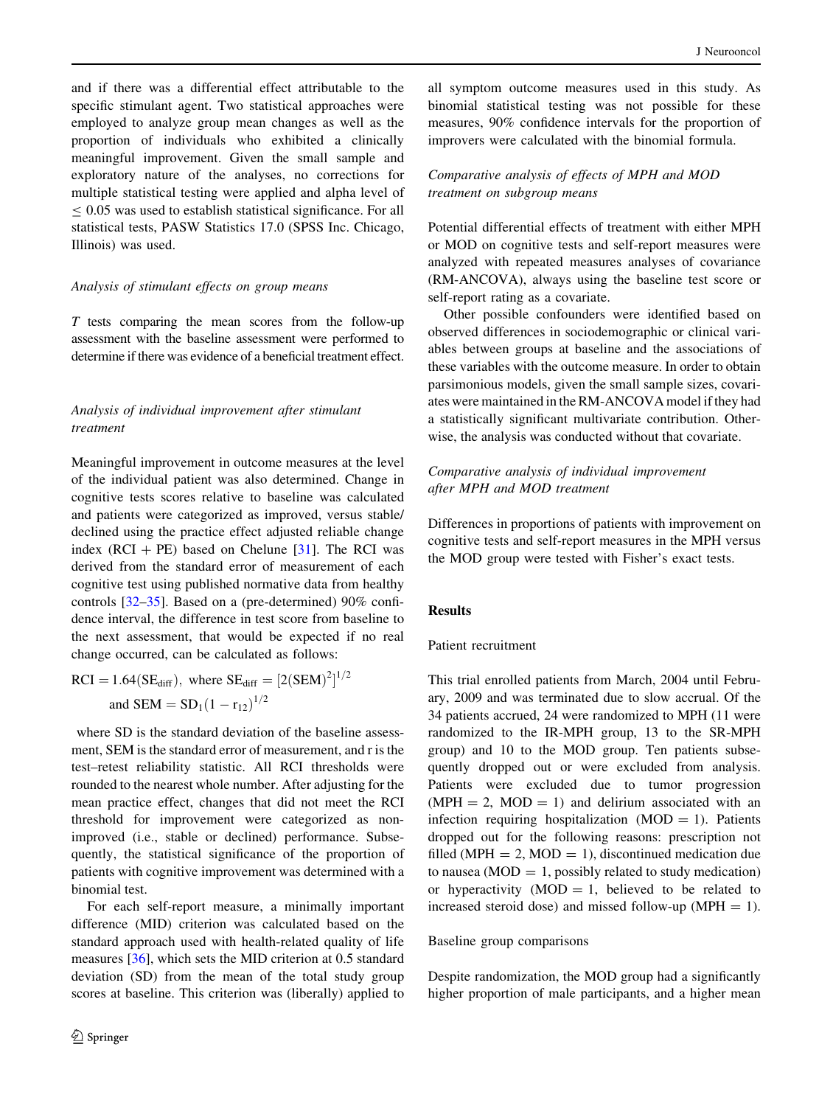and if there was a differential effect attributable to the specific stimulant agent. Two statistical approaches were employed to analyze group mean changes as well as the proportion of individuals who exhibited a clinically meaningful improvement. Given the small sample and exploratory nature of the analyses, no corrections for multiple statistical testing were applied and alpha level of  $\leq 0.05$  was used to establish statistical significance. For all statistical tests, PASW Statistics 17.0 (SPSS Inc. Chicago, Illinois) was used.

### Analysis of stimulant effects on group means

T tests comparing the mean scores from the follow-up assessment with the baseline assessment were performed to determine if there was evidence of a beneficial treatment effect.

## Analysis of individual improvement after stimulant treatment

Meaningful improvement in outcome measures at the level of the individual patient was also determined. Change in cognitive tests scores relative to baseline was calculated and patients were categorized as improved, versus stable/ declined using the practice effect adjusted reliable change index  $(RCI + PE)$  based on Chelune [\[31\]](#page-8-0). The RCI was derived from the standard error of measurement of each cognitive test using published normative data from healthy controls [[32–35\]](#page-8-0). Based on a (pre-determined) 90% confidence interval, the difference in test score from baseline to the next assessment, that would be expected if no real change occurred, can be calculated as follows:

$$
RCI = 1.64(SE_{diff}), \text{ where } SE_{diff} = [2(SEM)^{2}]^{1/2}
$$
  
and SEM = SD<sub>1</sub>(1 – r<sub>12</sub>)<sup>1/2</sup>

where SD is the standard deviation of the baseline assessment, SEM is the standard error of measurement, and r is the test–retest reliability statistic. All RCI thresholds were rounded to the nearest whole number. After adjusting for the mean practice effect, changes that did not meet the RCI threshold for improvement were categorized as nonimproved (i.e., stable or declined) performance. Subsequently, the statistical significance of the proportion of patients with cognitive improvement was determined with a binomial test.

For each self-report measure, a minimally important difference (MID) criterion was calculated based on the standard approach used with health-related quality of life measures [\[36](#page-8-0)], which sets the MID criterion at 0.5 standard deviation (SD) from the mean of the total study group scores at baseline. This criterion was (liberally) applied to

all symptom outcome measures used in this study. As binomial statistical testing was not possible for these measures, 90% confidence intervals for the proportion of improvers were calculated with the binomial formula.

# Comparative analysis of effects of MPH and MOD treatment on subgroup means

Potential differential effects of treatment with either MPH or MOD on cognitive tests and self-report measures were analyzed with repeated measures analyses of covariance (RM-ANCOVA), always using the baseline test score or self-report rating as a covariate.

Other possible confounders were identified based on observed differences in sociodemographic or clinical variables between groups at baseline and the associations of these variables with the outcome measure. In order to obtain parsimonious models, given the small sample sizes, covariates were maintained in the RM-ANCOVA model if they had a statistically significant multivariate contribution. Otherwise, the analysis was conducted without that covariate.

## Comparative analysis of individual improvement after MPH and MOD treatment

Differences in proportions of patients with improvement on cognitive tests and self-report measures in the MPH versus the MOD group were tested with Fisher's exact tests.

### Results

### Patient recruitment

This trial enrolled patients from March, 2004 until February, 2009 and was terminated due to slow accrual. Of the 34 patients accrued, 24 were randomized to MPH (11 were randomized to the IR-MPH group, 13 to the SR-MPH group) and 10 to the MOD group. Ten patients subsequently dropped out or were excluded from analysis. Patients were excluded due to tumor progression  $(MPH = 2, MOD = 1)$  and delirium associated with an infection requiring hospitalization ( $MOD = 1$ ). Patients dropped out for the following reasons: prescription not filled (MPH  $= 2$ , MOD  $= 1$ ), discontinued medication due to nausea ( $MOD = 1$ , possibly related to study medication) or hyperactivity  $(MOD = 1$ , believed to be related to increased steroid dose) and missed follow-up (MPH  $=$  1).

### Baseline group comparisons

Despite randomization, the MOD group had a significantly higher proportion of male participants, and a higher mean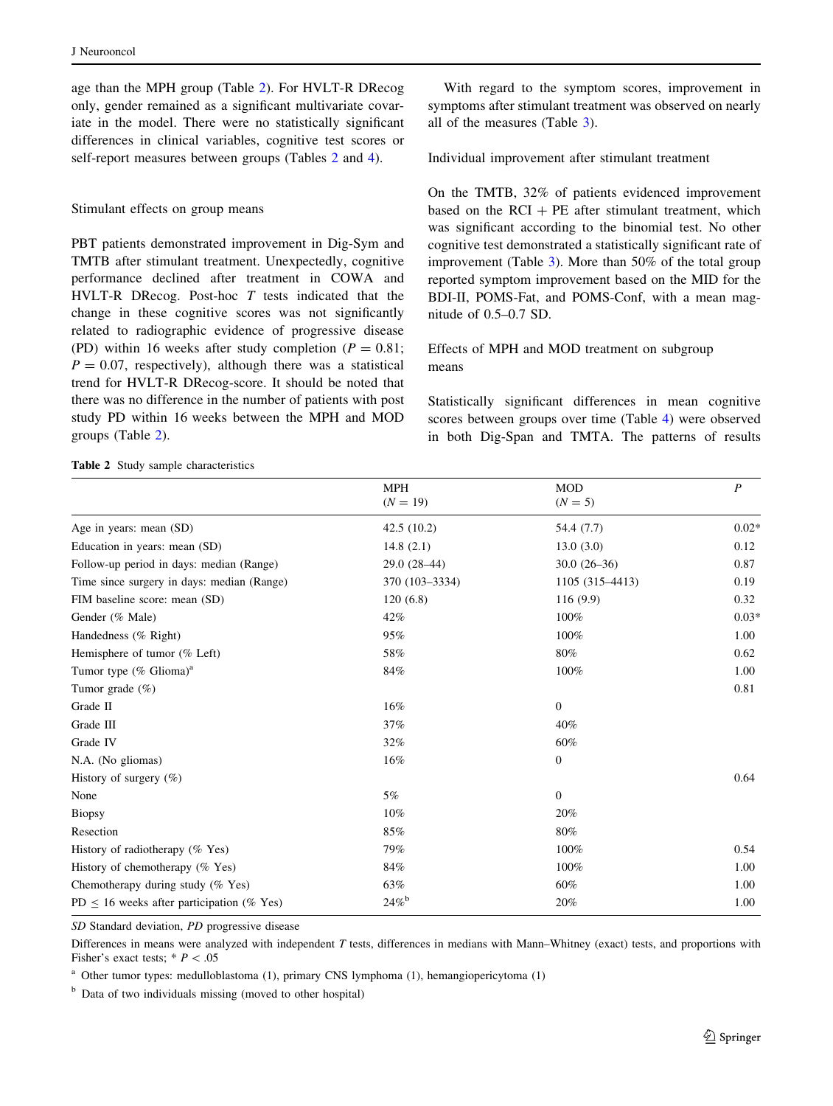age than the MPH group (Table 2). For HVLT-R DRecog only, gender remained as a significant multivariate covariate in the model. There were no statistically significant differences in clinical variables, cognitive test scores or self-report measures between groups (Tables 2 and [4](#page-7-0)).

### Stimulant effects on group means

PBT patients demonstrated improvement in Dig-Sym and TMTB after stimulant treatment. Unexpectedly, cognitive performance declined after treatment in COWA and HVLT-R DRecog. Post-hoc  $T$  tests indicated that the change in these cognitive scores was not significantly related to radiographic evidence of progressive disease (PD) within 16 weeks after study completion ( $P = 0.81$ ;  $P = 0.07$ , respectively), although there was a statistical trend for HVLT-R DRecog-score. It should be noted that there was no difference in the number of patients with post study PD within 16 weeks between the MPH and MOD groups (Table 2).

With regard to the symptom scores, improvement in symptoms after stimulant treatment was observed on nearly all of the measures (Table [3\)](#page-5-0).

Individual improvement after stimulant treatment

On the TMTB, 32% of patients evidenced improvement based on the  $RCI + PE$  after stimulant treatment, which was significant according to the binomial test. No other cognitive test demonstrated a statistically significant rate of improvement (Table [3](#page-5-0)). More than 50% of the total group reported symptom improvement based on the MID for the BDI-II, POMS-Fat, and POMS-Conf, with a mean magnitude of 0.5–0.7 SD.

Effects of MPH and MOD treatment on subgroup means

Statistically significant differences in mean cognitive scores between groups over time (Table [4\)](#page-7-0) were observed in both Dig-Span and TMTA. The patterns of results

| <b>MPH</b><br>$(N = 19)$ | <b>MOD</b><br>$(N = 5)$ | $\boldsymbol{P}$ |
|--------------------------|-------------------------|------------------|
| 42.5 $(10.2)$            | 54.4 (7.7)              | $0.02*$          |
| 14.8(2.1)                | 13.0(3.0)               | 0.12             |
| $29.0(28-44)$            | $30.0(26-36)$           | 0.87             |
| 370 (103-3334)           | 1105 (315–4413)         | 0.19             |
| 120(6.8)                 | 116(9.9)                | 0.32             |
| 42%                      | 100%                    | $0.03*$          |
| 95%                      | 100%                    | 1.00             |
| 58%                      | 80%                     | 0.62             |
| 84%                      | 100%                    | 1.00             |
|                          |                         | 0.81             |
| 16%                      | $\overline{0}$          |                  |
| 37%                      | 40%                     |                  |
| 32%                      | 60%                     |                  |
| 16%                      | $\mathbf{0}$            |                  |
|                          |                         | 0.64             |
| 5%                       | $\overline{0}$          |                  |
| 10%                      | 20%                     |                  |
| 85%                      | 80%                     |                  |
| 79%                      | 100%                    | 0.54             |
| 84%                      | 100%                    | 1.00             |
| 63%                      | 60%                     | 1.00             |
| $24\%$ <sup>b</sup>      | 20%                     | 1.00             |
|                          |                         |                  |

SD Standard deviation, PD progressive disease

Differences in means were analyzed with independent T tests, differences in medians with Mann–Whitney (exact) tests, and proportions with Fisher's exact tests;  $* P < .05$ 

<sup>a</sup> Other tumor types: medulloblastoma (1), primary CNS lymphoma (1), hemangiopericytoma (1)

<sup>b</sup> Data of two individuals missing (moved to other hospital)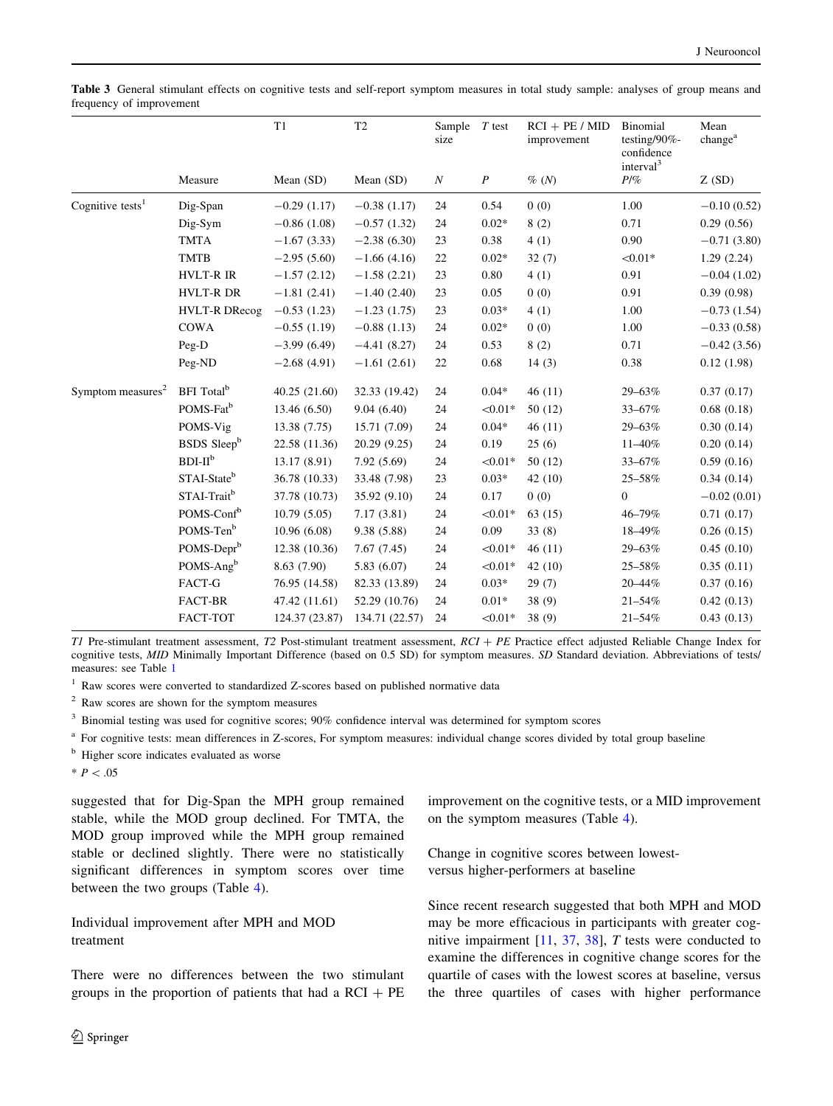<span id="page-5-0"></span>Table 3 General stimulant effects on cognitive tests and self-report symptom measures in total study sample: analyses of group means and frequency of improvement

|                              |                         | T1             | T <sub>2</sub> | Sample $T$ test<br>size |                  | $RCI + PE / MID$<br>improvement | Binomial<br>testing/90%-<br>confidence<br>interval <sup>3</sup> | Mean<br>change <sup>a</sup> |
|------------------------------|-------------------------|----------------|----------------|-------------------------|------------------|---------------------------------|-----------------------------------------------------------------|-----------------------------|
|                              | Measure                 | Mean (SD)      | Mean (SD)      | $\boldsymbol{N}$        | $\boldsymbol{P}$ | % (N)                           | $P/\%$                                                          | Z(SD)                       |
| Cognitive tests <sup>1</sup> | Dig-Span                | $-0.29(1.17)$  | $-0.38(1.17)$  | 24                      | 0.54             | 0(0)                            | 1.00                                                            | $-0.10(0.52)$               |
|                              | Dig-Sym                 | $-0.86(1.08)$  | $-0.57(1.32)$  | 24                      | $0.02*$          | 8(2)                            | 0.71                                                            | 0.29(0.56)                  |
|                              | <b>TMTA</b>             | $-1.67(3.33)$  | $-2.38(6.30)$  | 23                      | 0.38             | 4(1)                            | 0.90                                                            | $-0.71(3.80)$               |
|                              | <b>TMTB</b>             | $-2.95(5.60)$  | $-1.66(4.16)$  | $22\,$                  | $0.02*$          | 32(7)                           | $< 0.01*$                                                       | 1.29(2.24)                  |
|                              | <b>HVLT-R IR</b>        | $-1.57(2.12)$  | $-1.58(2.21)$  | 23                      | 0.80             | 4(1)                            | 0.91                                                            | $-0.04(1.02)$               |
|                              | <b>HVLT-R DR</b>        | $-1.81(2.41)$  | $-1.40(2.40)$  | 23                      | 0.05             | 0(0)                            | 0.91                                                            | 0.39(0.98)                  |
|                              | <b>HVLT-R DRecog</b>    | $-0.53(1.23)$  | $-1.23(1.75)$  | 23                      | $0.03*$          | 4(1)                            | 1.00                                                            | $-0.73(1.54)$               |
|                              | <b>COWA</b>             | $-0.55(1.19)$  | $-0.88(1.13)$  | 24                      | $0.02*$          | 0(0)                            | 1.00                                                            | $-0.33(0.58)$               |
|                              | Peg-D                   | $-3.99(6.49)$  | $-4.41(8.27)$  | 24                      | 0.53             | 8(2)                            | 0.71                                                            | $-0.42(3.56)$               |
|                              | Peg-ND                  | $-2.68(4.91)$  | $-1.61(2.61)$  | 22                      | 0.68             | 14(3)                           | 0.38                                                            | 0.12(1.98)                  |
| Symptom measures $2$         | BFI Total <sup>b</sup>  | 40.25 (21.60)  | 32.33 (19.42)  | 24                      | $0.04*$          | 46(11)                          | 29-63%                                                          | 0.37(0.17)                  |
|                              | POMS-Fat <sup>b</sup>   | 13.46 (6.50)   | 9.04(6.40)     | 24                      | $< 0.01*$        | 50(12)                          | 33-67%                                                          | 0.68(0.18)                  |
|                              | POMS-Vig                | 13.38(7.75)    | 15.71 (7.09)   | 24                      | $0.04*$          | 46(11)                          | 29-63%                                                          | 0.30(0.14)                  |
|                              | BSDS Sleep <sup>b</sup> | 22.58 (11.36)  | 20.29 (9.25)   | 24                      | 0.19             | 25(6)                           | 11-40%                                                          | 0.20(0.14)                  |
|                              | $BDI-IIb$               | 13.17 (8.91)   | 7.92 (5.69)    | 24                      | $< 0.01*$        | 50(12)                          | 33-67%                                                          | 0.59(0.16)                  |
|                              | STAI-State <sup>b</sup> | 36.78 (10.33)  | 33.48 (7.98)   | 23                      | $0.03*$          | 42(10)                          | 25-58%                                                          | 0.34(0.14)                  |
|                              | STAI-Trait <sup>b</sup> | 37.78 (10.73)  | 35.92 (9.10)   | 24                      | $0.17\,$         | 0(0)                            | $\mathbf{0}$                                                    | $-0.02(0.01)$               |
|                              | POMS-Confb              | 10.79(5.05)    | 7.17(3.81)     | 24                      | $< 0.01*$        | 63(15)                          | 46-79%                                                          | 0.71(0.17)                  |
|                              | POMS-Ten <sup>b</sup>   | 10.96(6.08)    | 9.38(5.88)     | 24                      | 0.09             | 33(8)                           | 18-49%                                                          | 0.26(0.15)                  |
|                              | POMS-Depr <sup>b</sup>  | 12.38 (10.36)  | 7.67(7.45)     | 24                      | $< 0.01*$        | 46(11)                          | 29-63%                                                          | 0.45(0.10)                  |
|                              | POMS-Ang <sup>b</sup>   | 8.63 (7.90)    | 5.83(6.07)     | 24                      | $< 0.01*$        | 42(10)                          | 25-58%                                                          | 0.35(0.11)                  |
|                              | FACT-G                  | 76.95 (14.58)  | 82.33 (13.89)  | 24                      | $0.03*$          | 29(7)                           | 20-44%                                                          | 0.37(0.16)                  |
|                              | FACT-BR                 | 47.42 (11.61)  | 52.29 (10.76)  | 24                      | $0.01*$          | 38(9)                           | $21 - 54%$                                                      | 0.42(0.13)                  |
|                              | FACT-TOT                | 124.37 (23.87) | 134.71 (22.57) | 24                      | $< 0.01*$        | 38(9)                           | 21-54%                                                          | 0.43(0.13)                  |

 $TI$  Pre-stimulant treatment assessment,  $TZ$  Post-stimulant treatment assessment,  $RCI + PE$  Practice effect adjusted Reliable Change Index for cognitive tests, MID Minimally Important Difference (based on 0.5 SD) for symptom measures. SD Standard deviation. Abbreviations of tests/ measures: see Table [1](#page-2-0)

<sup>1</sup> Raw scores were converted to standardized Z-scores based on published normative data

<sup>2</sup> Raw scores are shown for the symptom measures

<sup>3</sup> Binomial testing was used for cognitive scores; 90% confidence interval was determined for symptom scores

<sup>a</sup> For cognitive tests: mean differences in Z-scores, For symptom measures: individual change scores divided by total group baseline

<sup>b</sup> Higher score indicates evaluated as worse

 $* P < .05$ 

suggested that for Dig-Span the MPH group remained stable, while the MOD group declined. For TMTA, the MOD group improved while the MPH group remained stable or declined slightly. There were no statistically significant differences in symptom scores over time between the two groups (Table [4\)](#page-7-0).

# Individual improvement after MPH and MOD treatment

There were no differences between the two stimulant groups in the proportion of patients that had a  $RCI + PE$  improvement on the cognitive tests, or a MID improvement on the symptom measures (Table [4\)](#page-7-0).

Change in cognitive scores between lowestversus higher-performers at baseline

Since recent research suggested that both MPH and MOD may be more efficacious in participants with greater cognitive impairment  $[11, 37, 38]$  $[11, 37, 38]$  $[11, 37, 38]$  $[11, 37, 38]$  $[11, 37, 38]$  $[11, 37, 38]$  $[11, 37, 38]$ , T tests were conducted to examine the differences in cognitive change scores for the quartile of cases with the lowest scores at baseline, versus the three quartiles of cases with higher performance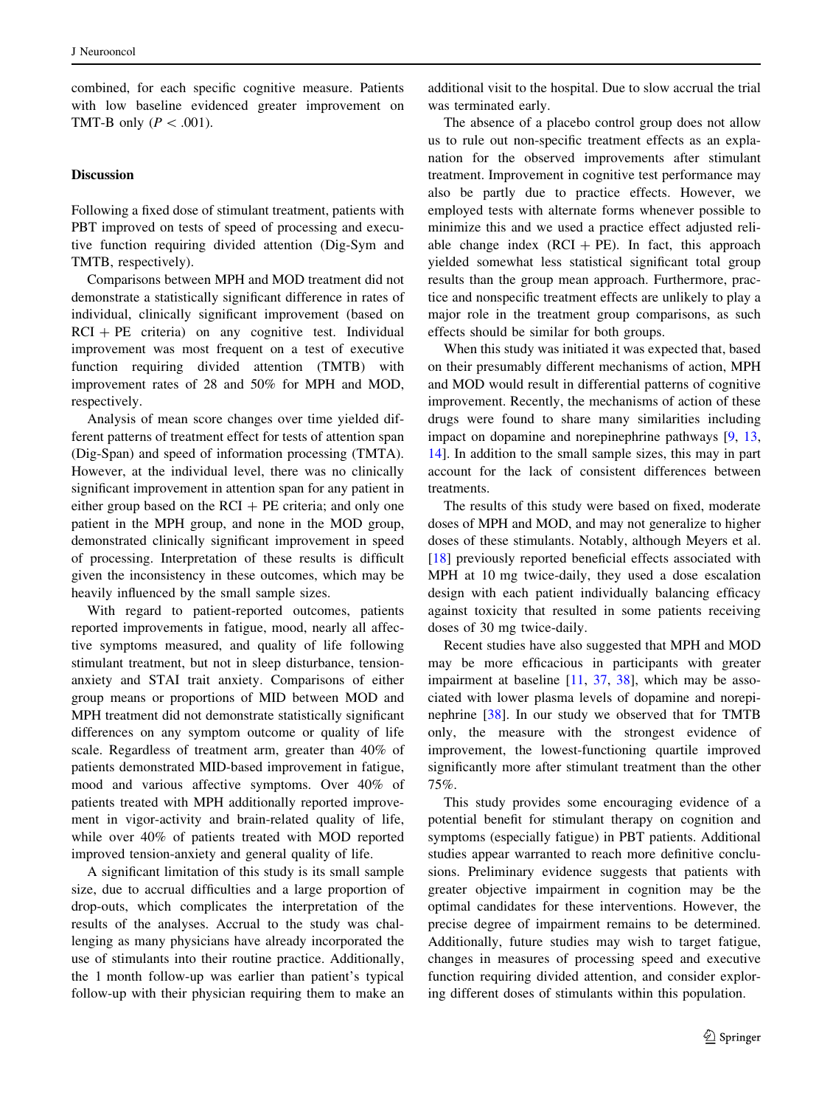combined, for each specific cognitive measure. Patients with low baseline evidenced greater improvement on TMT-B only ( $P\lt$  .001).

# Discussion

Following a fixed dose of stimulant treatment, patients with PBT improved on tests of speed of processing and executive function requiring divided attention (Dig-Sym and TMTB, respectively).

Comparisons between MPH and MOD treatment did not demonstrate a statistically significant difference in rates of individual, clinically significant improvement (based on  $RCI + PE$  criteria) on any cognitive test. Individual improvement was most frequent on a test of executive function requiring divided attention (TMTB) with improvement rates of 28 and 50% for MPH and MOD, respectively.

Analysis of mean score changes over time yielded different patterns of treatment effect for tests of attention span (Dig-Span) and speed of information processing (TMTA). However, at the individual level, there was no clinically significant improvement in attention span for any patient in either group based on the  $RCI + PE$  criteria; and only one patient in the MPH group, and none in the MOD group, demonstrated clinically significant improvement in speed of processing. Interpretation of these results is difficult given the inconsistency in these outcomes, which may be heavily influenced by the small sample sizes.

With regard to patient-reported outcomes, patients reported improvements in fatigue, mood, nearly all affective symptoms measured, and quality of life following stimulant treatment, but not in sleep disturbance, tensionanxiety and STAI trait anxiety. Comparisons of either group means or proportions of MID between MOD and MPH treatment did not demonstrate statistically significant differences on any symptom outcome or quality of life scale. Regardless of treatment arm, greater than 40% of patients demonstrated MID-based improvement in fatigue, mood and various affective symptoms. Over 40% of patients treated with MPH additionally reported improvement in vigor-activity and brain-related quality of life, while over 40% of patients treated with MOD reported improved tension-anxiety and general quality of life.

A significant limitation of this study is its small sample size, due to accrual difficulties and a large proportion of drop-outs, which complicates the interpretation of the results of the analyses. Accrual to the study was challenging as many physicians have already incorporated the use of stimulants into their routine practice. Additionally, the 1 month follow-up was earlier than patient's typical follow-up with their physician requiring them to make an

additional visit to the hospital. Due to slow accrual the trial was terminated early.

The absence of a placebo control group does not allow us to rule out non-specific treatment effects as an explanation for the observed improvements after stimulant treatment. Improvement in cognitive test performance may also be partly due to practice effects. However, we employed tests with alternate forms whenever possible to minimize this and we used a practice effect adjusted reliable change index  $(RCI + PE)$ . In fact, this approach yielded somewhat less statistical significant total group results than the group mean approach. Furthermore, practice and nonspecific treatment effects are unlikely to play a major role in the treatment group comparisons, as such effects should be similar for both groups.

When this study was initiated it was expected that, based on their presumably different mechanisms of action, MPH and MOD would result in differential patterns of cognitive improvement. Recently, the mechanisms of action of these drugs were found to share many similarities including impact on dopamine and norepinephrine pathways [[9,](#page-8-0) [13,](#page-8-0) [14](#page-8-0)]. In addition to the small sample sizes, this may in part account for the lack of consistent differences between treatments.

The results of this study were based on fixed, moderate doses of MPH and MOD, and may not generalize to higher doses of these stimulants. Notably, although Meyers et al. [\[18](#page-8-0)] previously reported beneficial effects associated with MPH at 10 mg twice-daily, they used a dose escalation design with each patient individually balancing efficacy against toxicity that resulted in some patients receiving doses of 30 mg twice-daily.

Recent studies have also suggested that MPH and MOD may be more efficacious in participants with greater impairment at baseline [[11,](#page-8-0) [37](#page-9-0), [38\]](#page-9-0), which may be associated with lower plasma levels of dopamine and norepinephrine [[38\]](#page-9-0). In our study we observed that for TMTB only, the measure with the strongest evidence of improvement, the lowest-functioning quartile improved significantly more after stimulant treatment than the other 75%.

This study provides some encouraging evidence of a potential benefit for stimulant therapy on cognition and symptoms (especially fatigue) in PBT patients. Additional studies appear warranted to reach more definitive conclusions. Preliminary evidence suggests that patients with greater objective impairment in cognition may be the optimal candidates for these interventions. However, the precise degree of impairment remains to be determined. Additionally, future studies may wish to target fatigue, changes in measures of processing speed and executive function requiring divided attention, and consider exploring different doses of stimulants within this population.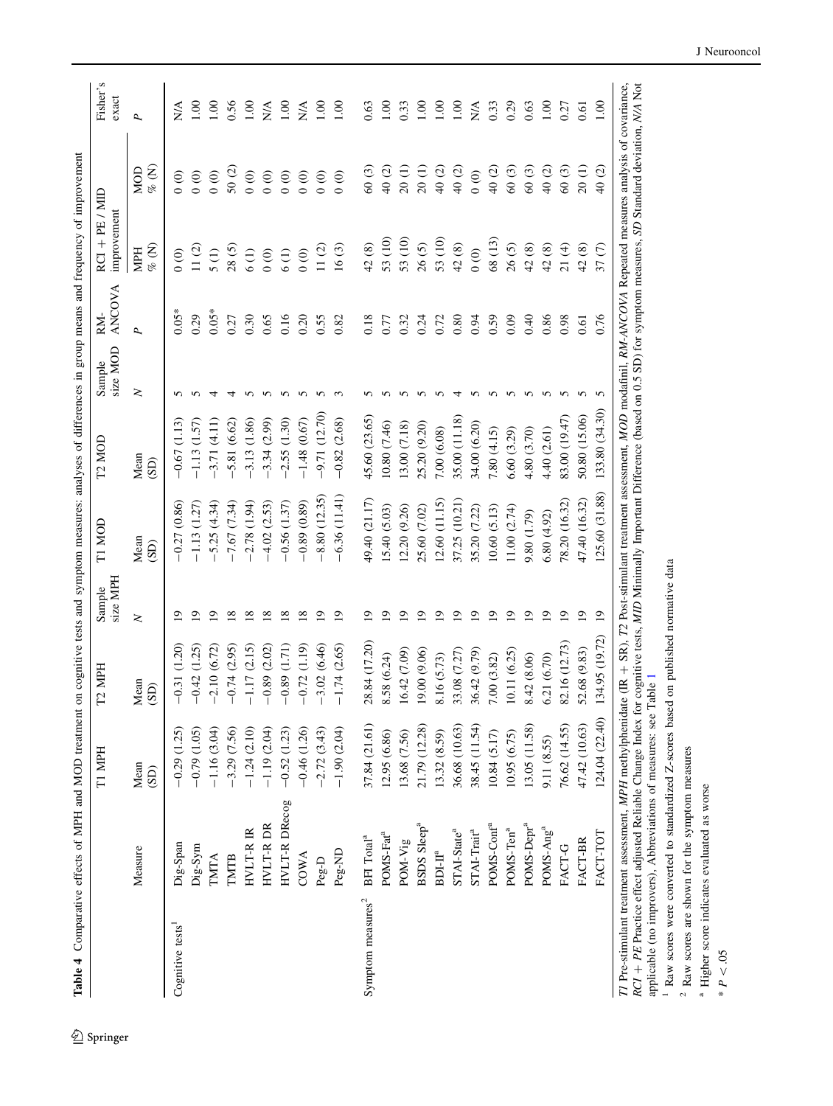<span id="page-7-0"></span>

|                               |                                        | T1 MPH           | T <sub>2</sub> MPH | size MPH<br>Sample | T1 MOD            | T <sub>2</sub> MOD | size MOD<br>Sample | ANCOVA<br>RM- | $RCI + PE / MID$<br>improvement |                                        | Fisher's<br>exact |
|-------------------------------|----------------------------------------|------------------|--------------------|--------------------|-------------------|--------------------|--------------------|---------------|---------------------------------|----------------------------------------|-------------------|
|                               | Measure                                | Mean<br>(SD)     | Mean<br>(SD)       | z                  | Mean<br>(GD)      | Mean<br>(SD)       | z                  | Α,            | $\%$ (N)<br><b>MPH</b>          | $\%$ (N)<br>NOD                        | P,                |
| Cognitive tests               | Dig-Span                               | $-0.29$ $(1.25)$ | $-0.31(1.20)$      | ە                  | (0.86)<br>$-0.27$ | $-0.67(1.13)$      |                    | $0.05*$       | $\overline{0}$                  | $\circ$                                | ΝÁ                |
|                               | $Diag-Sym$                             | $-0.79(1.05)$    | $-0.42$ (1.25)     | ⊵                  | (1.27)<br>$-1.13$ | $-1.13(1.57)$      |                    | 0.29          | 11(2)                           | $\circledcirc$                         | 00.1              |
|                               | TMTA                                   | $-1.16(3.04)$    | $-2.10(6.72)$      | ⊵                  | (4.34)<br>$-5.25$ | 3.71 (4.11)        |                    | $0.05*$       | 5(1)                            | $\begin{pmatrix} 0 \\ 0 \end{pmatrix}$ | 00.1              |
|                               | TMTB                                   | $-3.29$ $(7.56)$ | $-0.74(2.95)$      | $\frac{8}{2}$      | $-7.67(7.34)$     | $-5.81(6.62)$      |                    | 0.27          | 28(5)                           | 50 (2)                                 | 0.56              |
|                               | HVLT-R IR                              | $-1.24(2.10)$    | $-1.17(2.15)$      | $\frac{8}{2}$      | (1.94)<br>$-2.78$ | 3.13 (1.86)        |                    | 0.30          | 6(1)                            | $0\ (0)$                               | 00.1              |
|                               | HVLT-R DR                              | $-1.19(2.04)$    | $-0.89(2.02)$      | $\frac{8}{18}$     | (2.53)<br>$-4.02$ | (2.99)<br>3.34     |                    | 0.65          | $\circ$                         | (0)                                    | $N\mathcal{A}$    |
|                               | HVLT-R DRecog                          | $-0.52(1.23)$    | $-0.89(1.71)$      | $\frac{8}{18}$     | $-0.56$ $(1.37)$  | 2.55 (1.30)        |                    | 0.16          | 6(1)                            | $\circ$                                | 0.100             |
|                               | COWA                                   | $-0.46$ $(1.26)$ | $-0.72(1.19)$      | $\frac{8}{2}$      | $-0.89(0.89)$     | $-1.48(0.67)$      |                    | 0.20          | $\circ$                         | (0)                                    | $N\mathcal{A}$    |
|                               | Peg-D                                  | $-2.72(3.43)$    | $-3.02(6.46)$      | ⊵                  | 8.80 (12.35)      | $-9.71(12.70)$     |                    | 0.55          | 11(2)                           | (0)                                    | 0.00              |
|                               | $Peg$ -ND                              | $-1.90(2.04)$    | $-1.74(2.65)$      | $\overline{5}$     | $-6.36(11.41)$    | (2.68)<br>$-0.82$  |                    | 0.82          | 16(3)                           | $\circ$                                | 00.1              |
| Symptom measures <sup>2</sup> | BFI Total <sup>a</sup>                 | 37.84 (21.61)    | 28.84 (17.20)      | ⊵                  | 49.40 (21.17)     | 45.60 (23.65)      |                    | 0.18          | 42(8)                           | 60(3)                                  | 0.63              |
|                               | POMS-Fat <sup>a</sup>                  | 12.95 (6.86)     | 8.58 (6.24)        | ⊇                  | 15.40(5.03)       | (0.80C.46)         |                    | 0.77          | 53 (10)                         | 40(2)                                  | 00.1              |
|                               | POM-Vig                                | 13.68 (7.56)     | 16.42 (7.09)       | $\overline{9}$     | (2.20)(9.26)      | (3.00(7.18))       |                    | 0.32          | 53 (10)                         | 20(1)                                  | 0.33              |
|                               | BSDS Sleep <sup>a</sup>                | 21.79 (12.28)    | 19.00 (9.06)       | $\overline{5}$     | 25.60 (7.02)      | 25.20 (9.20)       |                    | 0.24          | 26(5)                           | 20(1)                                  | 00.1              |
|                               | $\mathbf{BDI}\text{-}\Pi^{\mathrm{a}}$ | 13.32 (8.59)     | 8.16 (5.73)        | $\overline{5}$     | 12.60 (11.15)     | 7.00 (6.08)        |                    | 0.72          | 53 (10)                         | 40(2)                                  | 00.1              |
|                               | STAI-State <sup>a</sup>                | 36.68 (10.63)    | 33.08 (7.27)       | $\overline{9}$     | 37.25 (10.21      | 35.00 (11.18)      |                    | 0.80          | 42(8)                           | 40(2)                                  | 1.00              |
|                               | STAI-Trait <sup>a</sup>                | 38.45 (11.54)    | 36.42 (9.79)       | $\overline{9}$     | 35.20 (7.22)      | 34.00 (6.20)       |                    | 0.94          | $\circ$                         | $\circ$                                | N/A               |
|                               | POMS-Conf <sup>a</sup>                 | 10.84(5.17)      | 7.00(3.82)         | $\overline{9}$     | 10.60(5.13)       | 7.80 (4.15)        |                    | 0.59          | 68 (13)                         | 40(2)                                  | 0.33              |
|                               | POMS-Ten <sup>a</sup>                  | 10.95 (6.75)     | 10.11 (6.25)       | ⊵                  | $(1.00 \ (2.74)$  | 6.60(3.29)         |                    | 0.09          | 26(5)                           | 60(3)                                  | 0.29              |
|                               | POMS-Depr <sup>a</sup>                 | 13.05 (11.58)    | 8.42 (8.06)        | $\overline{0}$     | 9.80 (1.79)       | 4.80 (3.70)        |                    | 0.40          | 42(8)                           | 60(3)                                  | 0.63              |
|                               | $POMS-Anga$                            | 9.11 (8.55)      | 6.21 (6.70)        | $\overline{0}$     | 6.80(4.92)        | 4.40(2.61)         |                    | 0.86          | 42(8)                           | $40(2)$                                | 1.00              |
|                               | FACT-G                                 | 76.62 (14.55)    | 82.16 (12.73)      | ⊇                  | 78.20 (16.32)     | 83.00 (19.47)      |                    | 0.98          | 21(4)                           | 60(3)                                  | 0.27              |
|                               | FACT-BR                                | 47.42 (10.63)    | 52.68 (9.83)       | $\overline{0}$     | 47.40 (16.32)     | 50.80 (15.06)      |                    | 0.61          | 42(8)                           | 20(1)                                  | 0.61              |
|                               | FACT-TOT                               | 124.04 (22.40)   | 134.95 (19.72)     | $\overline{19}$    | (25.60(31.88))    | 133.80 (34.30)     | 5                  | 0.76          | 37(7)                           | 40(2)                                  | 00.1              |

<sup>a</sup> Higher score indicates evaluated as worse Higher score indicates evaluated as worse

 $^{2}$  Raw scores are shown for the symptom measures  $\epsilon$  Raw scores are shown for the symptom measures

applicable (no improvers), Abbreviations of measures: see Table [1](#page-2-0)

<sup>1</sup> Raw scores were converted to standardized Z-scores based on published normative data Raw scores were converted to standardized Z-scores based on published normative data

 $P < .05$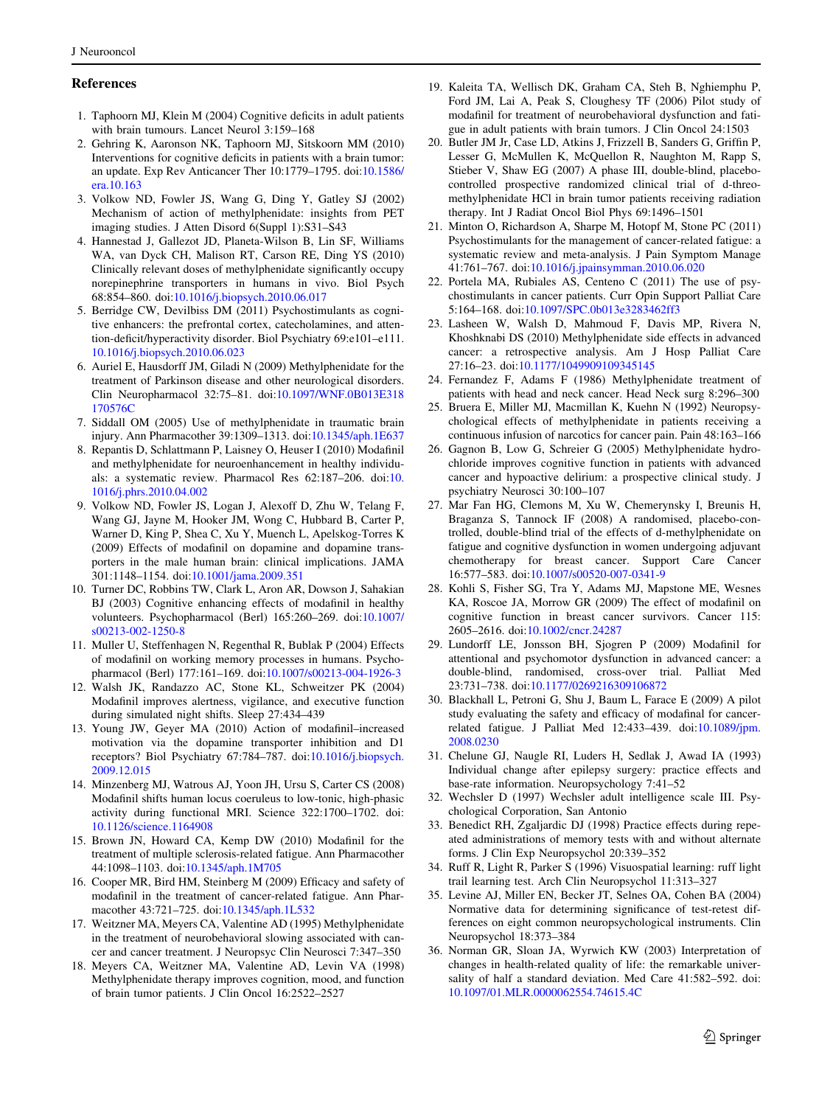### <span id="page-8-0"></span>References

- 1. Taphoorn MJ, Klein M (2004) Cognitive deficits in adult patients with brain tumours. Lancet Neurol 3:159–168
- 2. Gehring K, Aaronson NK, Taphoorn MJ, Sitskoorn MM (2010) Interventions for cognitive deficits in patients with a brain tumor: an update. Exp Rev Anticancer Ther 10:1779–1795. doi[:10.1586/](http://dx.doi.org/10.1586/era.10.163) [era.10.163](http://dx.doi.org/10.1586/era.10.163)
- 3. Volkow ND, Fowler JS, Wang G, Ding Y, Gatley SJ (2002) Mechanism of action of methylphenidate: insights from PET imaging studies. J Atten Disord 6(Suppl 1):S31–S43
- 4. Hannestad J, Gallezot JD, Planeta-Wilson B, Lin SF, Williams WA, van Dyck CH, Malison RT, Carson RE, Ding YS (2010) Clinically relevant doses of methylphenidate significantly occupy norepinephrine transporters in humans in vivo. Biol Psych 68:854–860. doi[:10.1016/j.biopsych.2010.06.017](http://dx.doi.org/10.1016/j.biopsych.2010.06.017)
- 5. Berridge CW, Devilbiss DM (2011) Psychostimulants as cognitive enhancers: the prefrontal cortex, catecholamines, and attention-deficit/hyperactivity disorder. Biol Psychiatry 69:e101–e111. [10.1016/j.biopsych.2010.06.023](http://dx.doi.org/10.1016/j.biopsych.2010.06.023)
- 6. Auriel E, Hausdorff JM, Giladi N (2009) Methylphenidate for the treatment of Parkinson disease and other neurological disorders. Clin Neuropharmacol 32:75–81. doi:[10.1097/WNF.0B013E318](http://dx.doi.org/10.1097/WNF.0B013E318170576C) [170576C](http://dx.doi.org/10.1097/WNF.0B013E318170576C)
- 7. Siddall OM (2005) Use of methylphenidate in traumatic brain injury. Ann Pharmacother 39:1309–1313. doi:[10.1345/aph.1E637](http://dx.doi.org/10.1345/aph.1E637)
- 8. Repantis D, Schlattmann P, Laisney O, Heuser I (2010) Modafinil and methylphenidate for neuroenhancement in healthy individuals: a systematic review. Pharmacol Res 62:187–206. doi:[10.](http://dx.doi.org/10.1016/j.phrs.2010.04.002) [1016/j.phrs.2010.04.002](http://dx.doi.org/10.1016/j.phrs.2010.04.002)
- 9. Volkow ND, Fowler JS, Logan J, Alexoff D, Zhu W, Telang F, Wang GJ, Jayne M, Hooker JM, Wong C, Hubbard B, Carter P, Warner D, King P, Shea C, Xu Y, Muench L, Apelskog-Torres K (2009) Effects of modafinil on dopamine and dopamine transporters in the male human brain: clinical implications. JAMA 301:1148–1154. doi:[10.1001/jama.2009.351](http://dx.doi.org/10.1001/jama.2009.351)
- 10. Turner DC, Robbins TW, Clark L, Aron AR, Dowson J, Sahakian BJ (2003) Cognitive enhancing effects of modafinil in healthy volunteers. Psychopharmacol (Berl) 165:260–269. doi[:10.1007/](http://dx.doi.org/10.1007/s00213-002-1250-8) [s00213-002-1250-8](http://dx.doi.org/10.1007/s00213-002-1250-8)
- 11. Muller U, Steffenhagen N, Regenthal R, Bublak P (2004) Effects of modafinil on working memory processes in humans. Psychopharmacol (Berl) 177:161–169. doi[:10.1007/s00213-004-1926-3](http://dx.doi.org/10.1007/s00213-004-1926-3)
- 12. Walsh JK, Randazzo AC, Stone KL, Schweitzer PK (2004) Modafinil improves alertness, vigilance, and executive function during simulated night shifts. Sleep 27:434–439
- 13. Young JW, Geyer MA (2010) Action of modafinil–increased motivation via the dopamine transporter inhibition and D1 receptors? Biol Psychiatry 67:784–787. doi:[10.1016/j.biopsych.](http://dx.doi.org/10.1016/j.biopsych.2009.12.015) [2009.12.015](http://dx.doi.org/10.1016/j.biopsych.2009.12.015)
- 14. Minzenberg MJ, Watrous AJ, Yoon JH, Ursu S, Carter CS (2008) Modafinil shifts human locus coeruleus to low-tonic, high-phasic activity during functional MRI. Science 322:1700–1702. doi: [10.1126/science.1164908](http://dx.doi.org/10.1126/science.1164908)
- 15. Brown JN, Howard CA, Kemp DW (2010) Modafinil for the treatment of multiple sclerosis-related fatigue. Ann Pharmacother 44:1098–1103. doi:[10.1345/aph.1M705](http://dx.doi.org/10.1345/aph.1M705)
- 16. Cooper MR, Bird HM, Steinberg M (2009) Efficacy and safety of modafinil in the treatment of cancer-related fatigue. Ann Pharmacother 43:721–725. doi:[10.1345/aph.1L532](http://dx.doi.org/10.1345/aph.1L532)
- 17. Weitzner MA, Meyers CA, Valentine AD (1995) Methylphenidate in the treatment of neurobehavioral slowing associated with cancer and cancer treatment. J Neuropsyc Clin Neurosci 7:347–350
- 18. Meyers CA, Weitzner MA, Valentine AD, Levin VA (1998) Methylphenidate therapy improves cognition, mood, and function of brain tumor patients. J Clin Oncol 16:2522–2527
- 19. Kaleita TA, Wellisch DK, Graham CA, Steh B, Nghiemphu P, Ford JM, Lai A, Peak S, Cloughesy TF (2006) Pilot study of modafinil for treatment of neurobehavioral dysfunction and fatigue in adult patients with brain tumors. J Clin Oncol 24:1503
- 20. Butler JM Jr, Case LD, Atkins J, Frizzell B, Sanders G, Griffin P, Lesser G, McMullen K, McQuellon R, Naughton M, Rapp S, Stieber V, Shaw EG (2007) A phase III, double-blind, placebocontrolled prospective randomized clinical trial of d-threomethylphenidate HCl in brain tumor patients receiving radiation therapy. Int J Radiat Oncol Biol Phys 69:1496–1501
- 21. Minton O, Richardson A, Sharpe M, Hotopf M, Stone PC (2011) Psychostimulants for the management of cancer-related fatigue: a systematic review and meta-analysis. J Pain Symptom Manage 41:761–767. doi[:10.1016/j.jpainsymman.2010.06.020](http://dx.doi.org/10.1016/j.jpainsymman.2010.06.020)
- 22. Portela MA, Rubiales AS, Centeno C (2011) The use of psychostimulants in cancer patients. Curr Opin Support Palliat Care 5:164–168. doi[:10.1097/SPC.0b013e3283462ff3](http://dx.doi.org/10.1097/SPC.0b013e3283462ff3)
- 23. Lasheen W, Walsh D, Mahmoud F, Davis MP, Rivera N, Khoshknabi DS (2010) Methylphenidate side effects in advanced cancer: a retrospective analysis. Am J Hosp Palliat Care 27:16–23. doi:[10.1177/1049909109345145](http://dx.doi.org/10.1177/1049909109345145)
- 24. Fernandez F, Adams F (1986) Methylphenidate treatment of patients with head and neck cancer. Head Neck surg 8:296–300
- 25. Bruera E, Miller MJ, Macmillan K, Kuehn N (1992) Neuropsychological effects of methylphenidate in patients receiving a continuous infusion of narcotics for cancer pain. Pain 48:163–166
- 26. Gagnon B, Low G, Schreier G (2005) Methylphenidate hydrochloride improves cognitive function in patients with advanced cancer and hypoactive delirium: a prospective clinical study. J psychiatry Neurosci 30:100–107
- 27. Mar Fan HG, Clemons M, Xu W, Chemerynsky I, Breunis H, Braganza S, Tannock IF (2008) A randomised, placebo-controlled, double-blind trial of the effects of d-methylphenidate on fatigue and cognitive dysfunction in women undergoing adjuvant chemotherapy for breast cancer. Support Care Cancer 16:577–583. doi[:10.1007/s00520-007-0341-9](http://dx.doi.org/10.1007/s00520-007-0341-9)
- 28. Kohli S, Fisher SG, Tra Y, Adams MJ, Mapstone ME, Wesnes KA, Roscoe JA, Morrow GR (2009) The effect of modafinil on cognitive function in breast cancer survivors. Cancer 115: 2605–2616. doi:[10.1002/cncr.24287](http://dx.doi.org/10.1002/cncr.24287)
- 29. Lundorff LE, Jonsson BH, Sjogren P (2009) Modafinil for attentional and psychomotor dysfunction in advanced cancer: a double-blind, randomised, cross-over trial. Palliat Med 23:731–738. doi[:10.1177/0269216309106872](http://dx.doi.org/10.1177/0269216309106872)
- 30. Blackhall L, Petroni G, Shu J, Baum L, Farace E (2009) A pilot study evaluating the safety and efficacy of modafinal for cancerrelated fatigue. J Palliat Med 12:433–439. doi:[10.1089/jpm.](http://dx.doi.org/10.1089/jpm.2008.0230) [2008.0230](http://dx.doi.org/10.1089/jpm.2008.0230)
- 31. Chelune GJ, Naugle RI, Luders H, Sedlak J, Awad IA (1993) Individual change after epilepsy surgery: practice effects and base-rate information. Neuropsychology 7:41–52
- 32. Wechsler D (1997) Wechsler adult intelligence scale III. Psychological Corporation, San Antonio
- 33. Benedict RH, Zgaljardic DJ (1998) Practice effects during repeated administrations of memory tests with and without alternate forms. J Clin Exp Neuropsychol 20:339–352
- 34. Ruff R, Light R, Parker S (1996) Visuospatial learning: ruff light trail learning test. Arch Clin Neuropsychol 11:313–327
- 35. Levine AJ, Miller EN, Becker JT, Selnes OA, Cohen BA (2004) Normative data for determining significance of test-retest differences on eight common neuropsychological instruments. Clin Neuropsychol 18:373–384
- 36. Norman GR, Sloan JA, Wyrwich KW (2003) Interpretation of changes in health-related quality of life: the remarkable universality of half a standard deviation. Med Care 41:582–592. doi: [10.1097/01.MLR.0000062554.74615.4C](http://dx.doi.org/10.1097/01.MLR.0000062554.74615.4C)